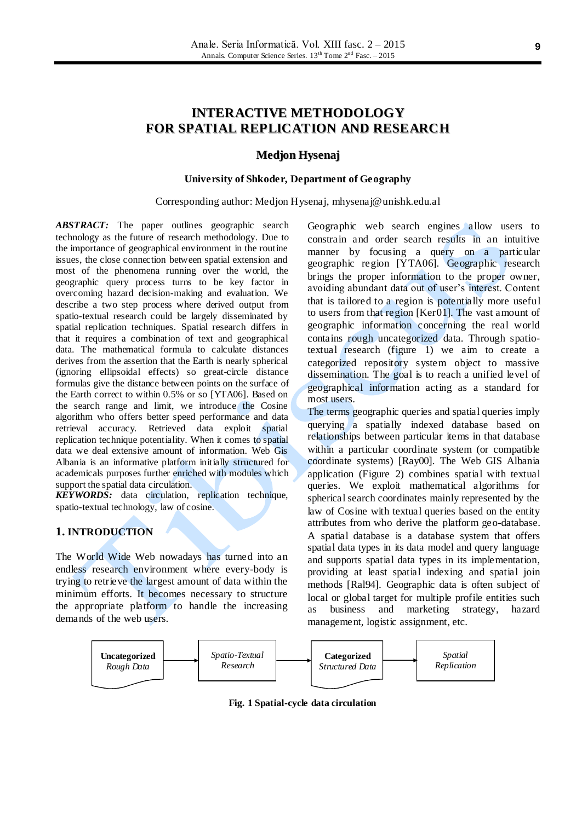# **INTERACTIVE METHODOLOGY FOR SPATIAL REPLICATION AND RESEARCH**

#### **Medjon Hysenaj**

#### **University of Shkoder, Department of Geography**

Corresponding author: Medjon Hysenaj, mhysenaj@unishk.edu.al

*ABSTRACT:* The paper outlines geographic search technology as the future of research methodology. Due to the importance of geographical environment in the routine issues, the close connection between spatial extension and most of the phenomena running over the world, the geographic query process turns to be key factor in overcoming hazard decision-making and evaluation. We describe a two step process where derived output from spatio-textual research could be largely disseminated by spatial replication techniques. Spatial research differs in that it requires a combination of text and geographical data. The mathematical formula to calculate distances derives from the assertion that the Earth is nearly spherical (ignoring ellipsoidal effects) so great-circle distance formulas give the distance between points on the surface of the Earth correct to within 0.5% or so [YTA06]. Based on the search range and limit, we introduce the Cosine algorithm who offers better speed performance and data retrieval accuracy. Retrieved data exploit spatial replication technique potentiality. When it comes to spatial data we deal extensive amount of information. Web Gis Albania is an informative platform initially structured for academicals purposes further enriched with modules which support the spatial data circulation.

*KEYWORDS:* data circulation, replication technique, spatio-textual technology, law of cosine.

# **1. INTRODUCTION**

The World Wide Web nowadays has turned into an endless research environment where every-body is trying to retrieve the largest amount of data within the minimum efforts. It becomes necessary to structure the appropriate platform to handle the increasing demands of the web users.

Geographic web search engines allow users to constrain and order search results in an intuitive manner by focusing a query on a particular geographic region [YTA06]. Geographic research brings the proper information to the proper owner, avoiding abundant data out of user"s interest. Content that is tailored to a region is potentially more useful to users from that region [Ker01]. The vast amount of geographic information concerning the real world contains rough uncategorized data. Through spatiotextual research (figure 1) we aim to create a categorized repository system object to massive dissemination. The goal is to reach a unified level of geographical information acting as a standard for most users.

The terms geographic queries and spatial queries imply querying a spatially indexed database based on relationships between particular items in that database within a particular coordinate system (or compatible coordinate systems) [Ray00]. The Web GIS Albania application (Figure 2) combines spatial with textual queries. We exploit mathematical algorithms for spherical search coordinates mainly represented by the law of Cosine with textual queries based on the entity attributes from who derive the platform geo-database. A spatial database is a database system that offers spatial data types in its data model and query language and supports spatial data types in its implementation, providing at least spatial indexing and spatial join methods [Ral94]. Geographic data is often subject of local or global target for multiple profile entities such as business and marketing strategy, hazard management, logistic assignment, etc.



**Fig. 1 Spatial-cycle data circulation**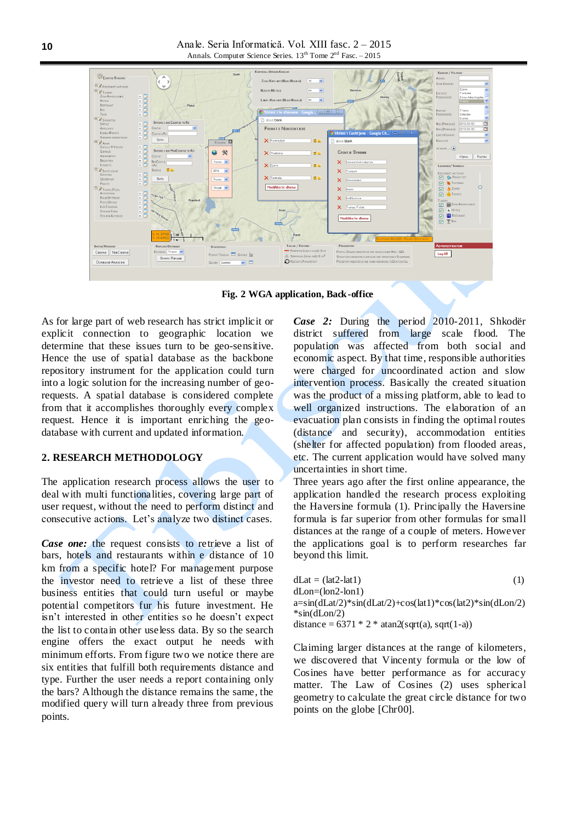Anale. Seria Informatică. Vol. XIII fasc. 2 – 2015 Annals. Computer Science Series.  $13<sup>th</sup>$  Tome  $2<sup>nd</sup>$  Fasc.  $-2015$ 



**Fig. 2 WGA application, Back-office**

As for large part of web research has strict implicit or explicit connection to geographic location we determine that these issues turn to be geo-sensitive. Hence the use of spatial database as the backbone repository instrument for the application could turn into a logic solution for the increasing number of georequests. A spatial database is considered complete from that it accomplishes thoroughly every complex request. Hence it is important enriching the geodatabase with current and updated information.

# **2. RESEARCH METHODOLOGY**

The application research process allows the user to deal with multi functionalities, covering large part of user request, without the need to perform distinct and consecutive actions. Let's analyze two distinct cases.

*Case one:* the request consists to retrieve a list of bars, hotels and restaurants within e distance of 10 km from a specific hotel? For management purpose the investor need to retrieve a list of these three business entities that could turn useful or maybe potential competitors fur his future investment. He isn"t interested in other entities so he doesn"t expect the list to contain other useless data. By so the search engine offers the exact output he needs with minimum efforts. From figure two we notice there are six entities that fulfill both requirements distance and type. Further the user needs a report containing only the bars? Although the distance remains the same, the modified query will turn already three from previous points.

*Case 2:* During the period 2010-2011, Shkodër district suffered from large scale flood. The population was affected from both social and economic aspect. By that time, responsible authorities were charged for uncoordinated action and slow intervention process. Basically the created situation was the product of a missing platform, able to lead to well organized instructions. The elaboration of an evacuation plan consists in finding the optimal routes (distance and security), accommodation entities (shelter for affected population) from flooded areas, etc. The current application would have solved many uncertainties in short time.

Three years ago after the first online appearance, the application handled the research process exploiting the Haversine formula (1). Principally the Haversine formula is far superior from other formulas for small distances at the range of a couple of meters. However the applications goal is to perform researches far beyond this limit.

| $dLat = (lat2-lat1)$                                                   | (1) |
|------------------------------------------------------------------------|-----|
| dLon=(lon2-lon1)                                                       |     |
| $a=sin(dLat/2)*sin(dLat/2)+cos(lat)*cos(lat2)*sin(d Lon/2)$            |     |
| $*\sin(dL \cdot n/2)$                                                  |     |
| distance = $6371 * 2 * \text{atan2}(\text{sqrt}(a), \text{sqrt}(1-a))$ |     |

Claiming larger distances at the range of kilometers, we discovered that Vincenty formula or the low of Cosines have better performance as for accuracy matter. The Law of Cosines (2) uses spherical geometry to calculate the great circle distance for two points on the globe [Chr00].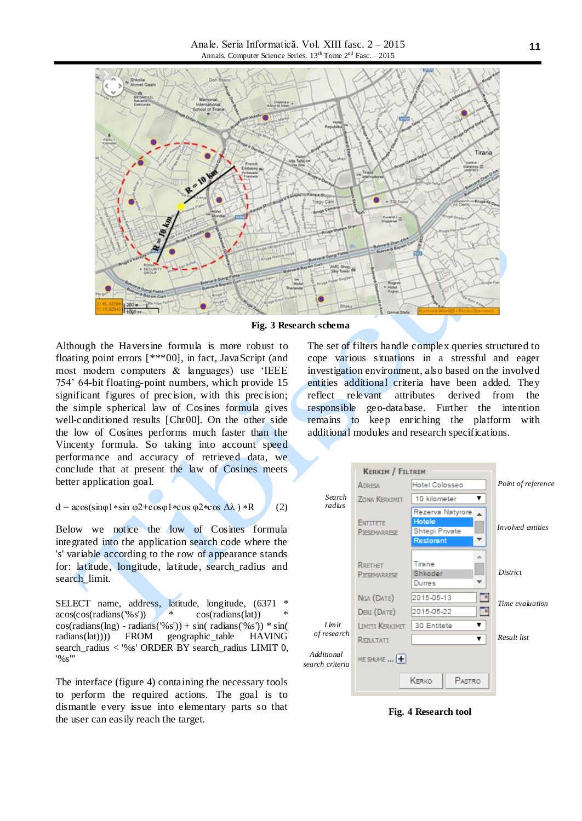Anale. Seria Informatică. Vol. XIII fasc. 2 – 2015 Annals. Computer Science Series. 13<sup>th</sup> Tome 2<sup>nd</sup> Fasc. – 2015



**Fig. 3 Research schema**

Although the Haversine formula is more robust to floating point errors [\*\*\*00], in fact, JavaScript (and most modern computers & languages) use "IEEE 754" 64-bit floating-point numbers, which provide 15 significant figures of precision, with this precision; the simple spherical law of Cosines formula gives well-conditioned results [Chr00]. On the other side the low of Cosines performs much faster than the Vincenty formula. So taking into account speed performance and accuracy of retrieved data, we conclude that at present the law of Cosines meets better application goal.

$$
d = a\cos(\sin\phi 1 * \sin \phi 2 + \cos\phi 1 * \cos \phi 2 * \cos \Delta\lambda) * R \qquad (2)
$$

Below we notice the low of Cosines formula integrated into the application search code where the 's' variable according to the row of appearance stands for: latitude, longitude, latitude, search\_radius and search\_limit.

SELECT name, address, latitude, longitude, (6371 \*  $\arccos(\cos(\text{radians}(\frac{1}{6} \text{s})))$  \*  $\cos(\text{radians}(\text{lat}))$  $cos(radians(lng) - radians('%s')) + sin(radians('%s')) * sin($ radians(lat)))) FROM geographic\_table HAVING search\_radius < '%s' ORDER BY search\_radius LIMIT 0, '%s'"

The interface (figure 4) containing the necessary tools to perform the required actions. The goal is to dismantle every issue into elementary parts so that the user can easily reach the target.

The set of filters handle complex queries structured to cope various situations in a stressful and eager investigation environment, also based on the involved entities additional criteria have been added. They reflect relevant attributes derived from the responsible geo-database. Further the intention remains to keep enriching the platform with additional modules and research specifications.



**Fig. 4 Research tool**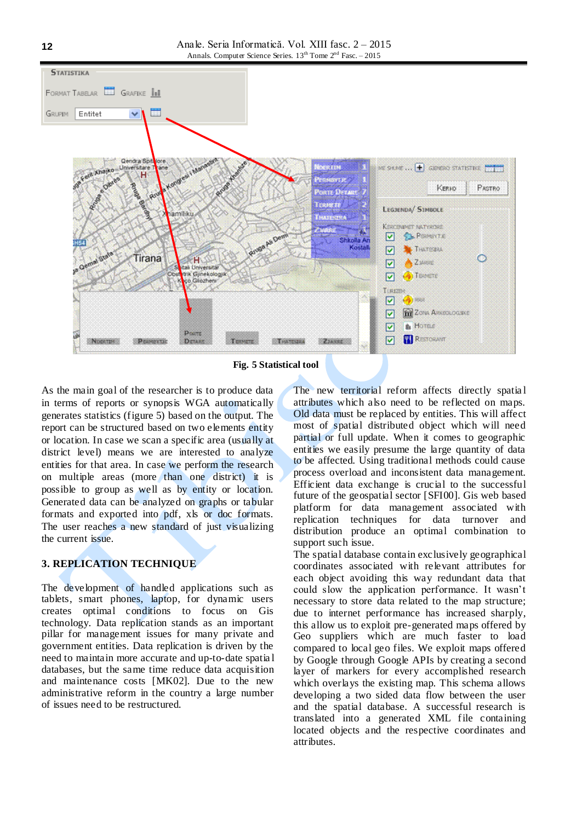

**Fig. 5 Statistical tool**

As the main goal of the researcher is to produce data in terms of reports or synopsis WGA automatically generates statistics (figure 5) based on the output. The report can be structured based on two elements entity or location. In case we scan a specific area (usually at district level) means we are interested to analyze entities for that area. In case we perform the research on multiple areas (more than one district) it is possible to group as well as by entity or location. Generated data can be analyzed on graphs or tabular formats and exported into pdf, xls or doc formats. The user reaches a new standard of just visualizing the current issue.

#### **3. REPLICATION TECHNIQUE**

The development of handled applications such as tablets, smart phones, laptop, for dynamic users creates optimal conditions to focus on Gis technology. Data replication stands as an important pillar for management issues for many private and government entities. Data replication is driven by the need to maintain more accurate and up-to-date spatia l databases, but the same time reduce data acquisition and maintenance costs [MK02]. Due to the new administrative reform in the country a large number of issues need to be restructured.

The new territorial reform affects directly spatial attributes which also need to be reflected on maps. Old data must be replaced by entities. This will affect most of spatial distributed object which will need partial or full update. When it comes to geographic entities we easily presume the large quantity of data to be affected. Using traditional methods could cause process overload and inconsistent data management. Efficient data exchange is crucial to the successful future of the geospatial sector [SFI00]. Gis web based platform for data management associated with replication techniques for data turnover and distribution produce an optimal combination to support such issue.

The spatial database contain exclusively geographical coordinates associated with relevant attributes for each object avoiding this way redundant data that could slow the application performance. It wasn"t necessary to store data related to the map structure; due to internet performance has increased sharply, this allow us to exploit pre-generated maps offered by Geo suppliers which are much faster to load compared to local geo files. We exploit maps offered by Google through Google APIs by creating a second layer of markers for every accomplished research which overlays the existing map. This schema allows developing a two sided data flow between the user and the spatial database. A successful research is translated into a generated XML file containing located objects and the respective coordinates and attributes.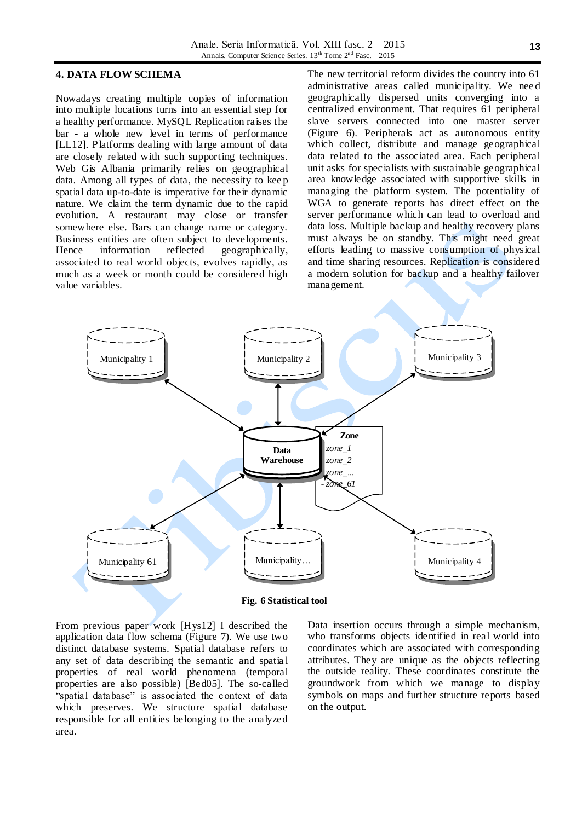#### **4. DATA FLOW SCHEMA**

Nowadays creating multiple copies of information into multiple locations turns into an essential step for a healthy performance. MySQL Replication raises the bar - a whole new level in terms of performance [LL12]. Platforms dealing with large amount of data are closely related with such supporting techniques. Web Gis Albania primarily relies on geographical data. Among all types of data, the necessity to kee p spatial data up-to-date is imperative for their dynamic nature. We claim the term dynamic due to the rapid evolution. A restaurant may close or transfer somewhere else. Bars can change name or category. Business entities are often subject to developments.<br>Hence information reflected geographically, information reflected geographically, associated to real world objects, evolves rapidly, as much as a week or month could be considered high value variables.

The new territorial reform divides the country into 61 administrative areas called municipality. We nee d geographically dispersed units converging into a centralized environment. That requires 61 peripheral slave servers connected into one master server (Figure 6). Peripherals act as autonomous entity which collect, distribute and manage geographical data related to the associated area. Each peripheral unit asks for specialists with sustainable geographical area knowledge associated with supportive skills in managing the platform system. The potentiality of WGA to generate reports has direct effect on the server performance which can lead to overload and data loss. Multiple backup and healthy recovery plans must always be on standby. This might need great efforts leading to massive consumption of physical and time sharing resources. Replication is considered a modern solution for backup and a healthy failover management.



**Fig. 6 Statistical tool**

From previous paper work [Hys12] I described the application data flow schema (Figure 7). We use two distinct database systems. Spatial database refers to any set of data describing the semantic and spatia l properties of real world phenomena (temporal properties are also possible) [Bed05]. The so-called "spatial database" is associated the context of data which preserves. We structure spatial database responsible for all entities belonging to the analyzed area.

Data insertion occurs through a simple mechanism, who transforms objects identified in real world into coordinates which are associated with corresponding attributes. They are unique as the objects reflecting the outside reality. These coordinates constitute the groundwork from which we manage to display symbols on maps and further structure reports based on the output.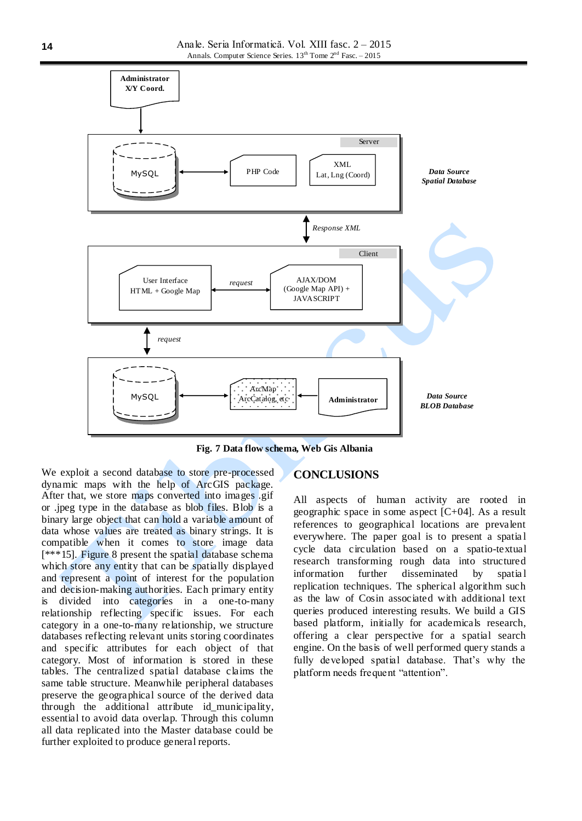

**Fig. 7 Data flow schema, Web Gis Albania**

We exploit a second database to store pre-processed dynamic maps with the help of ArcGIS package. After that, we store maps converted into images .gif or .jpeg type in the database as blob files. Blob is a binary large object that can hold a variable amount of data whose values are treated as binary strings. It is compatible when it comes to store image data [\*\*\*15]. Figure 8 present the spatial database schema which store any entity that can be spatially displayed and represent a point of interest for the population and decision-making authorities. Each primary entity is divided into categories in a one-to-many relationship reflecting specific issues. For each category in a one-to-many relationship, we structure databases reflecting relevant units storing coordinates and specific attributes for each object of that category. Most of information is stored in these tables. The centralized spatial database claims the same table structure. Meanwhile peripheral databases preserve the geographical source of the derived data through the additional attribute id\_municipality, essential to avoid data overlap. Through this column all data replicated into the Master database could be further exploited to produce general reports.

# **CONCLUSIONS**

All aspects of human activity are rooted in geographic space in some aspect [C+04]. As a result references to geographical locations are prevalent everywhere. The paper goal is to present a spatia l cycle data circulation based on a spatio-textual research transforming rough data into structured information further disseminated by spatia l replication techniques. The spherical algorithm such as the law of Cosin associated with additional text queries produced interesting results. We build a GIS based platform, initially for academicals research, offering a clear perspective for a spatial search engine. On the basis of well performed query stands a fully developed spatial database. That's why the platform needs frequent "attention".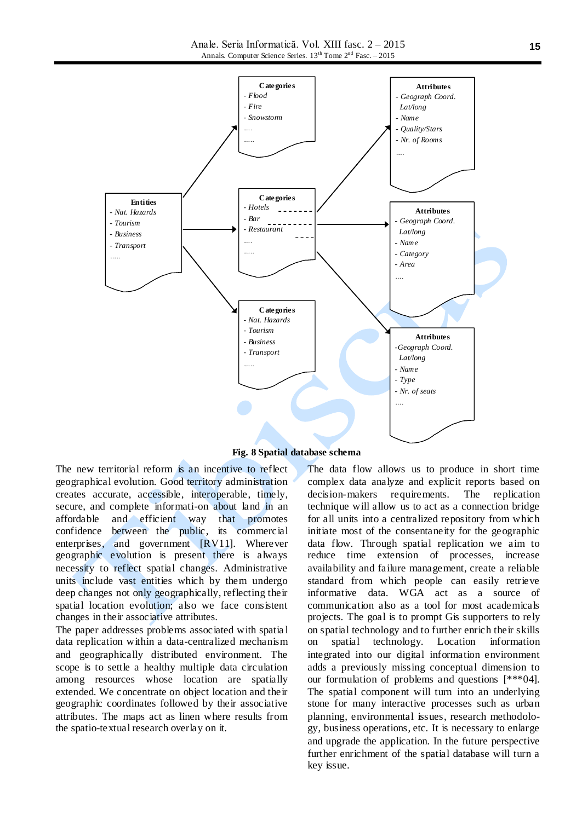Anale. Seria Informatică. Vol. XIII fasc. 2 – 2015 Annals. Computer Science Series. 13<sup>th</sup> Tome 2<sup>nd</sup> Fasc. – 2015



**Fig. 8 Spatial database schema**

The new territorial reform is an incentive to reflect geographical evolution. Good territory administration creates accurate, accessible, interoperable, timely, secure, and complete informati-on about land in an affordable and efficient way that promotes confidence between the public, its commercial enterprises, and government [RV11]. Wherever geographic evolution is present there is always necessity to reflect spatial changes. Administrative units include vast entities which by them undergo deep changes not only geographically, reflecting their spatial location evolution; also we face consistent changes in their associative attributes.

The paper addresses problems associated with spatia l data replication within a data-centralized mechanism and geographically distributed environment. The scope is to settle a healthy multiple data circulation among resources whose location are spatially extended. We concentrate on object location and their geographic coordinates followed by their associative attributes. The maps act as linen where results from the spatio-textual research overlay on it.

The data flow allows us to produce in short time complex data analyze and explicit reports based on decision-makers requirements. The replication technique will allow us to act as a connection bridge for all units into a centralized repository from which initiate most of the consentaneity for the geographic data flow. Through spatial replication we aim to reduce time extension of processes, increase availability and failure management, create a reliable standard from which people can easily retrieve informative data. WGA act as a source of communication also as a tool for most academicals projects. The goal is to prompt Gis supporters to rely on spatial technology and to further enrich their skills on spatial technology. Location information integrated into our digital information environment adds a previously missing conceptual dimension to our formulation of problems and questions [\*\*\*04]. The spatial component will turn into an underlying stone for many interactive processes such as urban planning, environmental issues, research methodology, business operations, etc. It is necessary to enlarge and upgrade the application. In the future perspective further enrichment of the spatial database will turn a key issue.